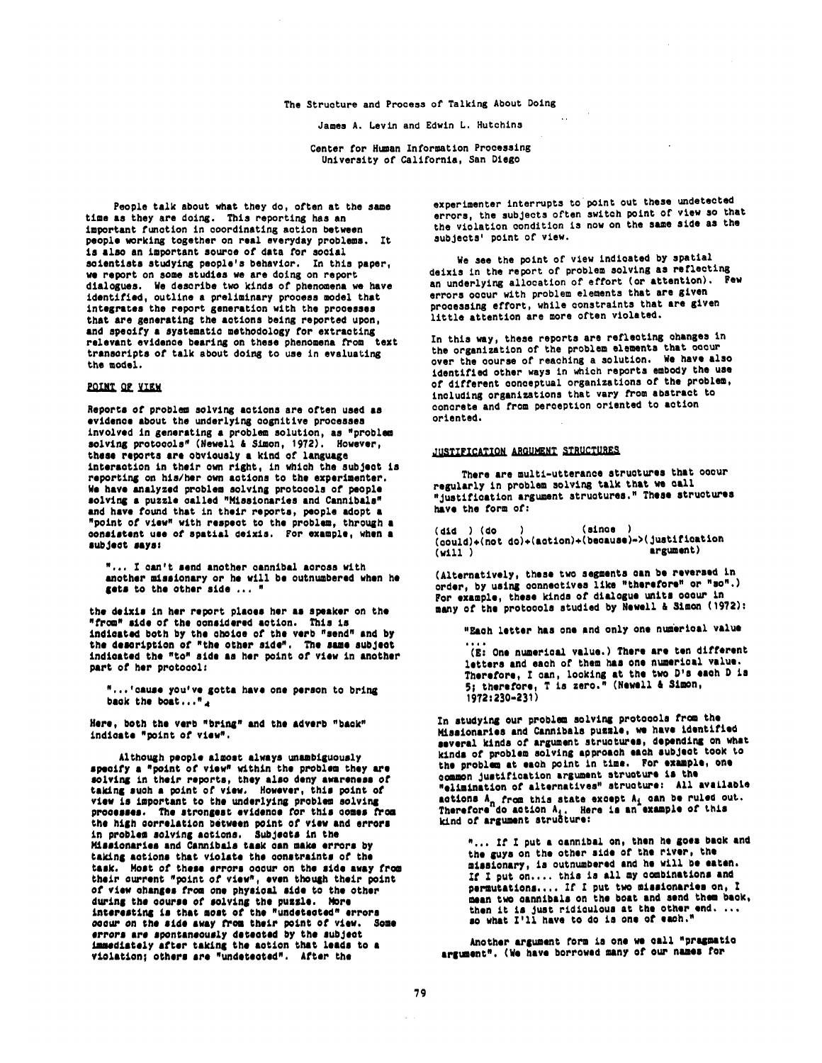#### The Structure and Process of Talking About Doing

James A. Levln and Edwin L. Hutchins

Center for Human Information Processing University of Callfornia, San Diego

People talk about what they do, often at the same time as they are doing. This reporting has an important function in coordinating aotlon between people working together on real everyday problems. It is also an important source of data for social scientists studying people's behavior. In this paper, we report on some studies we are doing on report dialogues. We describe two kinds of phenomena we have identified, outline a preliminary process model that integrates the report generation with the processes that are generating the actions being reported upon, and specify a systematic methodology For extracting relevant evidence bearing on these phenomena from text trenscrlpts of talk about doing to use in evaluating the model.

## POINT OF YIEW

Reports of problem solving actions are often used as evidence about the underlying cognitive processes involved in generating a problem solution, as "problem solving protocols" (Howell & Simon, 1972). However, these reports ere obviously a kind of language interaction in their own right, in which the subject is reportlns on hls/hor own actions to the experimenter. We have analyzed problem solving protocols of people solving a puzzle called "Hlsslonaries and Cannibals" and have found that in their reports, people adopt a • point or view" with respect to the problan, through • consistent use of spatial deixis. For example, when a subject savs:

".., X can't send another cannibal across with another missionary or he will be outnumbered when he gets to the other side .., "

the deixis in her report places her as speaker on the • from" side of the considered action, This is indicated both by the choice of the verb "send" and by the description of "the other side". The same subject indicated the "to" side as her point of view in another part or her protocol:

"...'cause you've gotta have one person to bring back the boat..."

Here, both the verb "bring" and the adverb "back" indicate "point ot view".

Although people almost always unambiguously specify a "point of view" within the problem they are solving in their reports, they also deny awareness of taking such a point of view. However, this point of view is important to the underlying problem solving processes. The strongest evidence for this comes from the high correlation between point of view and errors in problem solving actions. Subjects in the Missionaries and Cannibals task can make errors by taking actions that violate the constraints of the task. Most of these errors occur on the side away from their current "point of view", even though their point of view changes From one physical side to the other during the course of solving the puzzle. More interesting is that most of the "undetected" errors occur on the side away from their point of view. Some errors are spontaneously detected by the subject immediately after taking the action that leads to a violation: others are "undetected". After the

experimenter interrupts to point out these undetected errors, the subjects often switch point of view so that the violation condition is now on the same side as the subjects' point of view.

We see the point of view indicated by spatial deixis in the report of problem solving as reflecting an underlying allocation of effort (or attention). Pew errors occur with problem elements that are given processing effort, while constraints that are given little attention are more often violated.

In this way, these reports are reflecting changes in the organization of the problem elements that occur over the course of reaching a solution. We have also identified other ways in which reports embody the use of different conceptual organizations of the problem, including organizations that vary from abstract to concrete and from perception oriented to action oriented.

### JUSTIFICATION ARGUMENT STRUCTURES

There are multi-utterance structures that occur regularly in problem solving talk that we call "justification argument structures." These structures have the form of:

(did ) (do ) (since ) (could)+(not do)+(aotion).(bsc•use)->(Justitloatlon (will) argument)

(Alternatively, these two segments can be reversed in order, by using connectives like "therefore" or "so".) For example, these kinds of dialogue units occur in many ot the protocols studied by Newall & Simon (1972):

"Each letter has one and only one numerical value

(E: One numerical value.) There are ten different letters and each of them has one numerical value.<br>Therefore, I can, looking at the two D's each D is 5; therefore, T is zero." (Hewell& 8Amen, **1972:230-231)** 

In studying our problem solving protocols from the Misaionaries and Cannibals puzzle, we have identified several kinds of argument structures, depending on what kinds of problem solving approach each subject took to the problem at each point in time. For example, one common justification argument structure is the • elimination cf alternative•" struntur•: All av•Llabte actions A<sub>n</sub> from this state except A<sub>i</sub> can be ruled out. Therefore<sup>-</sup>do action A<sub>i</sub>, Here is an example of this<br><u>kind of argument stru</u>Gture:

"... If I put a cannibal on, then he goes back and the guys on the other side of the river, the misslcnary, is outnumbered and he will be eaten. If I put on.... this is all my combinations and permutations.... If I put two missionaries on. I mean two cannibals on the boat and send them back, then it is just ridiculous at the other end. ..<br>so what I'll have to do is one of each."

Another argument form is one we call "pragmatic argument". (We have borrowed many of our names for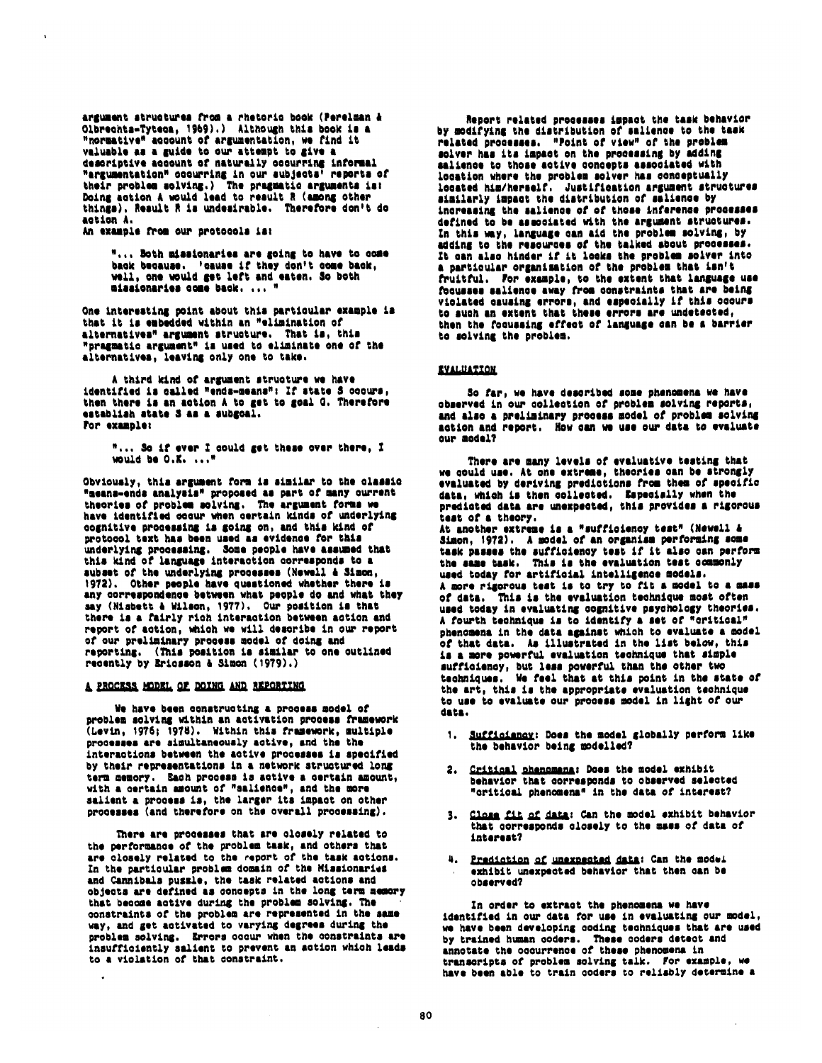argument structures from a rhetoric book (Perelman & Olbrechts-Tyteca, 1969).) Although this book is a "normative" account of argumentation, we find it valuable as a guide to our attempt to give a descriptive account of naturally cocurring informal "argumentation" occurring in our subjects" reports of their problem solving.) The pragmatic arguments is:<br>Doing action A would lead to result R (among other things). Result R is undestrable. Therefore don't do action A.

An example from our protocols is:

"... Both missionaries are going to have to come back because. 'cause if they don't come back, well, one would get left and eaten. So both missionaries come back. ... "

One interesting point about this particular example is that it is embedded within an "elimination of alternatives" argument structure. That is, this "pragmatic argument" is used to eliminate one of the alternatives, leaving only one to take.

A third kind of argument structure we have identified is called "ends-means": If state \$ occurs, then there is an action A to get to goal G. Therefore establish state S as a subgoal. For example:

"... So if ever I could get these over there, I would be  $0.001$ .

Obviously, this argument form is similar to the classic "means-ends analysis" proposed as part of many current theories of problem solving. The argument forms we have identified occur when certain kinds of underlying cognitive processing is going on, and this kind of protocol text has been used as evidence for this underlying processing. Some people have assumed that this kind of language interaction corresponds to a subset of the underlying processes (Newell & Simon, 1972). Other people have questioned whether there is any correspondence between what people do and what they say (Nisbett & Wilson, 1977). Our position is that<br>there is a fairly rich interaction between action and report of action, which we will describe in our report of our preliminary process model of doing and reporting. (This position is similar to one outlined recently by Ericsson & Simon (1979).)

## A PROCESS MODEL OF DOING AND REPORTING

We have been constructing a process model of problem solving within an activation process framework (Levin, 1976; 1978). Within this framework, multiple processes are simultaneously active, and the the interactions between the active processes is specified by their representations in a network structured long term memory. Each process is active a certain amount, with a certain amount of "salience", and the more salient a process is, the larger its impact on other processes (and therefore on the overall processing).

There are processes that are closely related to the performance of the problem task, and others that<br>are closely related to the report of the task actions. In the particular problem domain of the Missionaries and Cannibals pussle, the task related actions and objects are defined as concepts in the long term memory that become active during the problem solving. The constraints of the problem are represented in the same way, and get activated to varying degrees during the problem solving. Errors occur when the constraints are insufficiently salient to prevent an action which leads to a violation of that constraint.

Report related processes impact the task behavior by modifying the distribution of salience to the task related processes. "Point of view" of the problem solver has its impact on the processing by adding salience to those active concepts associated with location where the problem solver has conceptually located him/herself. Justification argument structures similarly impact the distribution of salience by increasing the salience of of those inference processes defined to be associated with the argument structures. In this way, language can aid the problem solving, by adding to the resources of the talked about processes. It can also hinder if it looks the problem solver into a particular organisation of the problem that isn't fruitful. For example, to the extent that language use<br>focusses salience away from constraints that are being violated causing errors, and especially if this coours to such an extent that these errors are undetected,<br>then the focussing effect of language can be a barrier to solving the problem.

#### **EVALUATION**

So far, we have described some phenomena we have observed in our collection of problem solving reports, and also a preliminary process model of problem solving action and report. How can we use our data to evaluate our model?

There are many levels of evaluative testing that we could use. At one extreme, theories can be strongly evaluated by deriving predictions from them of specific data, which is then collected. Especially when the predicted data are unexpected, this provides a rigorous .<br>test of a theory. At another extreme is a "sufficiency test" (Newell & Simon, 1972). A model of an organism performing some task passes the sufficiency test if it also can perform the same task. This is the evaluation test commonly used today for artificial intelligence models. A more rigorous test is to try to fit a model to a mass of data. This is the evaluation technique most often used today in evaluating cognitive psychology theories. A fourth technique is to identify a set of "critical" phenomena in the data against which to evaluate a model of that data. As illustrated in the list below. this is a more powerful evaluation technique that simple sufficiency, but less powerful than the other two techniques. We feel that at this point in the state of the art, this is the appropriate evaluation technique to use to evaluate our process model in light of our data.

- 1. Sufficiancy: Does the model globally perform like the behavior being modelled?
- 2. <u>Critical</u> phenomana: Does the model exhibit behavior that corresponds to observed selected "oritical phenomena" in the data of interest?
- 3. Close fit of data: Can the model exhibit behavior that corresponds closely to the mass of data of interest?
- 4. Prediction of unexpected data: Can the model exhibit unexpected behavior that then can be observed?

In order to extract the phenomena we have identified in our data for use in evaluating our model. we have been developing coding techniques that are used by trained human coders. These coders detect and annotate the occurrence of these phenomena in transcripts of problem solving talk. For example, we have been able to train coders to reliably determine a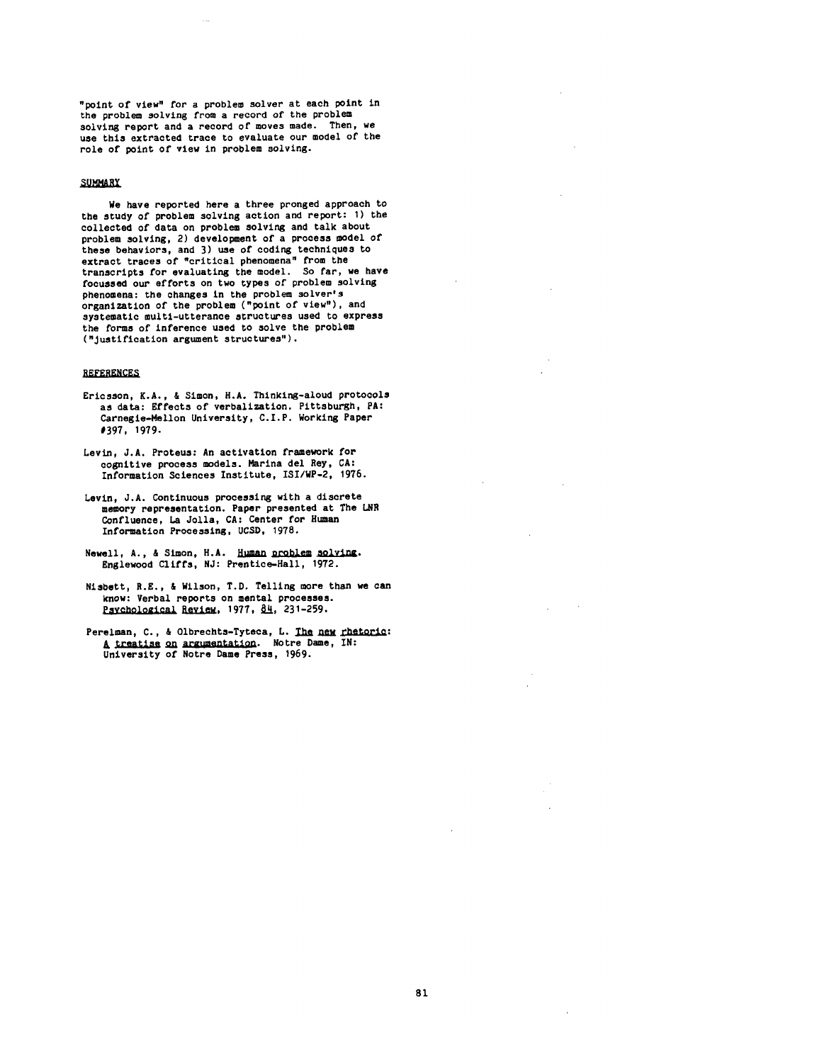"point of view" for a problem solver at each point in the problem solving from a record of the problem solving report and a record of moves made. Then, we use this extracted trace to evaluate our model of the role of point of view in problem solving.

## SUMMARY

We have reported here a three pronged approach to the study of problem solving action and report: I) the collected of data on problem solving and talk about problem solving, 2) development of a process model of these behaviors, and 3) use of coding techniques to extract traces of "critical phenomena" from the transcripts for evaluating the model. So far, we have focussed our efforts on two types of problem solving phenomena: the changes in the problem solver's organization of the problem ("point of view"), and systematic multl-utterance structures used to express the forms of inference used to solve the problem ("Justificatlon argument structures").

# **REFERENCES**

- Ericsson, K.A., & Simon, H.A. Thlnking-aloud protocols as data: Effects of verbalization. Pittsburgh, PA: Carnegle-Mellon University, C.I.P. Working Paper #397, 1979.
- Levin, J.A. Proteus: An actlvation framework for cognitive process models. Marina de1 Rey, CA: Information Sciences Institute, ISI/WP-2, 1976.
- Levin, J.A. Continuous processing with a discrete memory representation. Paper presented at The LNR Confluence, La Jolla, CA: Center for Human Information Processing, UCSD, 1978.
- Newell, A., & Simon, H.A. Human problem solving. Englewood Cliffs, NJ: Prentlce-Hall, 1972.
- Nisbett, R.E., & Wilson, T.D. Telling more than we can know: Verbal reports on mental processes. Psychological Review. 1977, 84, 231-259.
- Perelman, C., & Olbrechts-Tyteca, L. The new rhetoric: A treatise on argumentation. Notre Dame, IN: University of Notre Dame Press, 1969.

 $\mathbb{R}^2$